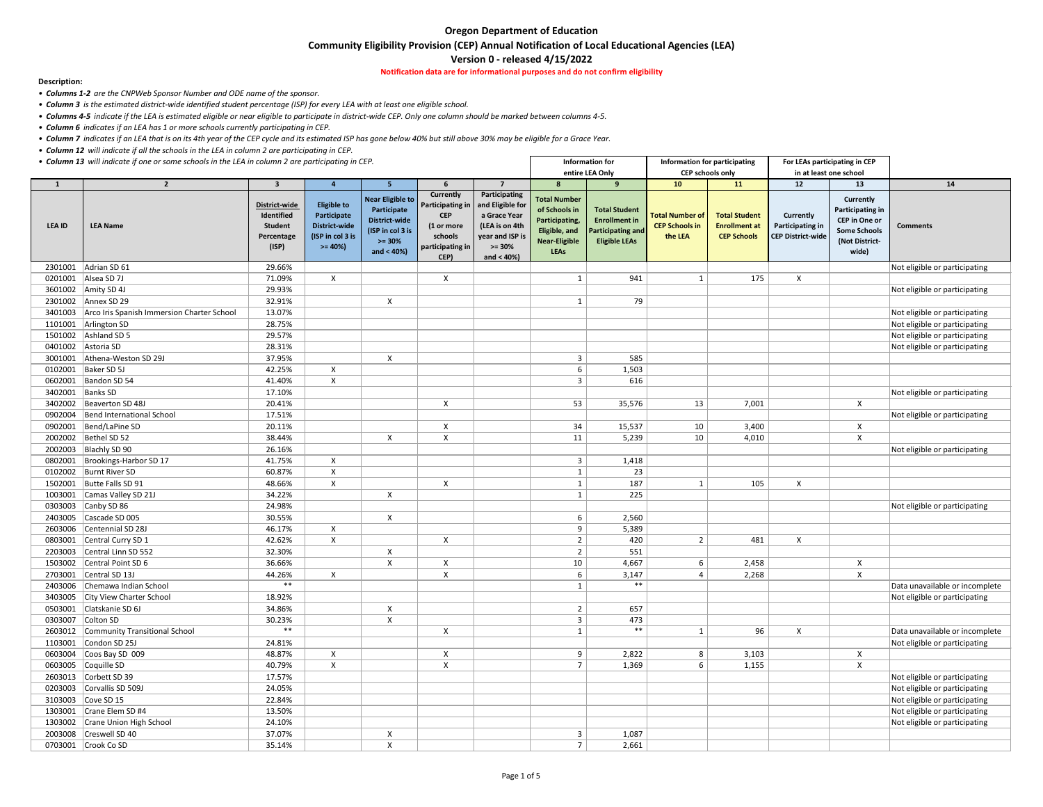**Community Eligibility Provision (CEP) Annual Notification of Local Educational Agencies (LEA)** 

### **Version 0 - released 4/15/2022**

**Notification data are for informational purposes and do not confirm eligibility** 

### **Description:**

*• Columns 1-2 are the CNPWeb Sponsor Number and ODE name of the sponsor.* 

- *Column 3 is the estimated district-wide identified student percentage (ISP) for every LEA with at least one eligible school.*
- *Columns 4-5 indicate if the LEA is estimated eligible or near eligible to participate in district-wide CEP. Only one column should be marked between columns 4-5.*
- *Column 6 indicates if an LEA has 1 or more schools currently participating in CEP.*
- *Column 7 indicates if an LEA that is on its 4th year of the CEP cycle and its estimated ISP has gone below 40% but still above 30% may be eligible for a Grace Year.*
- *Column 12 will indicate if all the schools in the LEA in column 2 are participating in CEP.*
- 

| • Column 13 will indicate if one or some schools in the LEA in column 2 are participating in CEP. |                                                    |                                                                      |                                                                                           |                                                                                                                  |                                                                                                         |                                                                                                                     |                                                                                                                | <b>Information for</b>                                                                           |                                                            | Information for participating                                      |                                                                         | For LEAs participating in CEP                                                                                         |                                |
|---------------------------------------------------------------------------------------------------|----------------------------------------------------|----------------------------------------------------------------------|-------------------------------------------------------------------------------------------|------------------------------------------------------------------------------------------------------------------|---------------------------------------------------------------------------------------------------------|---------------------------------------------------------------------------------------------------------------------|----------------------------------------------------------------------------------------------------------------|--------------------------------------------------------------------------------------------------|------------------------------------------------------------|--------------------------------------------------------------------|-------------------------------------------------------------------------|-----------------------------------------------------------------------------------------------------------------------|--------------------------------|
|                                                                                                   |                                                    |                                                                      |                                                                                           |                                                                                                                  |                                                                                                         |                                                                                                                     |                                                                                                                | entire LEA Only                                                                                  |                                                            | <b>CEP schools only</b>                                            | in at least one school                                                  |                                                                                                                       |                                |
| 1                                                                                                 | $\overline{2}$                                     | $\overline{\mathbf{3}}$                                              |                                                                                           | 5 <sup>1</sup>                                                                                                   |                                                                                                         | $\overline{7}$                                                                                                      | 8                                                                                                              | <b>q</b>                                                                                         | 10 <sup>1</sup>                                            | <b>11</b>                                                          | 12                                                                      | 13                                                                                                                    | 14                             |
| <b>LEA ID</b>                                                                                     | <b>LEA Name</b>                                    | District-wide<br>Identified<br><b>Student</b><br>Percentage<br>(ISP) | <b>Eligible to</b><br>Participate<br><b>District-wide</b><br>(ISP in col 3 is<br>$>= 40%$ | <b>Near Eligible to</b><br>Participate<br><b>District-wide</b><br>(ISP in col 3 is<br>$>= 30%$<br>and $< 40\%$ ) | Currently<br><b>Participating in</b><br><b>CEP</b><br>(1 or more<br>schools<br>participating in<br>CEP) | Participating<br>and Eligible for<br>a Grace Year<br>(LEA is on 4th<br>year and ISP is<br>$>= 30%$<br>and $< 40%$ ) | <b>Total Number</b><br>of Schools in<br>Participating,<br>Eligible, and<br><b>Near-Eligible</b><br><b>LEAs</b> | <b>Total Student</b><br><b>Enrollment in</b><br><b>Participating and</b><br><b>Eligible LEAs</b> | <b>Total Number of</b><br><b>CEP Schools in</b><br>the LEA | <b>Total Student</b><br><b>Enrollment at</b><br><b>CEP Schools</b> | <b>Currently</b><br><b>Participating in</b><br><b>CEP District-wide</b> | <b>Currently</b><br><b>Participating in</b><br><b>CEP</b> in One or<br><b>Some Schools</b><br>(Not District-<br>wide) | <b>Comments</b>                |
|                                                                                                   | 2301001 Adrian SD 61                               | 29.66%                                                               |                                                                                           |                                                                                                                  |                                                                                                         |                                                                                                                     |                                                                                                                |                                                                                                  |                                                            |                                                                    |                                                                         |                                                                                                                       | Not eligible or participating  |
| 0201001                                                                                           | Alsea SD 7J                                        | 71.09%                                                               | $\mathsf{X}$                                                                              |                                                                                                                  | $\boldsymbol{\mathsf{X}}$                                                                               |                                                                                                                     |                                                                                                                | 941                                                                                              | $\mathbf{1}$                                               | 175                                                                | X                                                                       |                                                                                                                       |                                |
|                                                                                                   | 3601002   Amity SD 4J                              | 29.93%                                                               |                                                                                           |                                                                                                                  |                                                                                                         |                                                                                                                     |                                                                                                                |                                                                                                  |                                                            |                                                                    |                                                                         |                                                                                                                       | Not eligible or participating  |
|                                                                                                   | 2301002 Annex SD 29                                | 32.91%                                                               |                                                                                           | X                                                                                                                |                                                                                                         |                                                                                                                     |                                                                                                                | 79                                                                                               |                                                            |                                                                    |                                                                         |                                                                                                                       |                                |
|                                                                                                   | 3401003 Arco Iris Spanish Immersion Charter School | 13.07%                                                               |                                                                                           |                                                                                                                  |                                                                                                         |                                                                                                                     |                                                                                                                |                                                                                                  |                                                            |                                                                    |                                                                         |                                                                                                                       | Not eligible or participating  |
|                                                                                                   | 1101001 Arlington SD                               | 28.75%                                                               |                                                                                           |                                                                                                                  |                                                                                                         |                                                                                                                     |                                                                                                                |                                                                                                  |                                                            |                                                                    |                                                                         |                                                                                                                       | Not eligible or participating  |
|                                                                                                   | 1501002 Ashland SD 5                               | 29.57%                                                               |                                                                                           |                                                                                                                  |                                                                                                         |                                                                                                                     |                                                                                                                |                                                                                                  |                                                            |                                                                    |                                                                         |                                                                                                                       | Not eligible or participating  |
|                                                                                                   | 0401002 Astoria SD                                 | 28.31%                                                               |                                                                                           |                                                                                                                  |                                                                                                         |                                                                                                                     |                                                                                                                |                                                                                                  |                                                            |                                                                    |                                                                         |                                                                                                                       | Not eligible or participating  |
| 3001001                                                                                           | Athena-Weston SD 29J                               | 37.95%                                                               |                                                                                           | $\mathsf{X}$                                                                                                     |                                                                                                         |                                                                                                                     | 3                                                                                                              | 585                                                                                              |                                                            |                                                                    |                                                                         |                                                                                                                       |                                |
|                                                                                                   | 0102001   Baker SD 5J                              | 42.25%                                                               | X                                                                                         |                                                                                                                  |                                                                                                         |                                                                                                                     |                                                                                                                | 1,503                                                                                            |                                                            |                                                                    |                                                                         |                                                                                                                       |                                |
|                                                                                                   | 0602001   Bandon SD 54                             | 41.40%                                                               | $\mathsf{X}$                                                                              |                                                                                                                  |                                                                                                         |                                                                                                                     |                                                                                                                | 616                                                                                              |                                                            |                                                                    |                                                                         |                                                                                                                       |                                |
| 3402001 Banks SD                                                                                  |                                                    | 17.10%                                                               |                                                                                           |                                                                                                                  |                                                                                                         |                                                                                                                     |                                                                                                                |                                                                                                  |                                                            |                                                                    |                                                                         |                                                                                                                       | Not eligible or participating  |
|                                                                                                   | 3402002   Beaverton SD 48J                         | 20.41%                                                               |                                                                                           |                                                                                                                  | $\boldsymbol{\mathsf{X}}$                                                                               |                                                                                                                     | 53                                                                                                             | 35,576                                                                                           | 13                                                         | 7,001                                                              |                                                                         | $\mathsf{X}$                                                                                                          |                                |
|                                                                                                   | 0902004   Bend International School                | 17.51%                                                               |                                                                                           |                                                                                                                  |                                                                                                         |                                                                                                                     |                                                                                                                |                                                                                                  |                                                            |                                                                    |                                                                         |                                                                                                                       | Not eligible or participating  |
|                                                                                                   | 0902001  Bend/LaPine SD                            | 20.11%                                                               |                                                                                           |                                                                                                                  | $\pmb{\times}$                                                                                          |                                                                                                                     | 34                                                                                                             | 15,537                                                                                           | 10 <sup>°</sup>                                            | 3,400                                                              |                                                                         | $\mathsf{X}$                                                                                                          |                                |
|                                                                                                   | 2002002   Bethel SD 52                             | 38.44%                                                               |                                                                                           | $\mathsf{X}$                                                                                                     | $\pmb{\times}$                                                                                          |                                                                                                                     | 11                                                                                                             | 5,239                                                                                            | 10                                                         | 4,010                                                              |                                                                         | $\mathsf{X}$                                                                                                          |                                |
|                                                                                                   | 2002003 Blachly SD 90                              | 26.16%                                                               |                                                                                           |                                                                                                                  |                                                                                                         |                                                                                                                     |                                                                                                                |                                                                                                  |                                                            |                                                                    |                                                                         |                                                                                                                       | Not eligible or participating  |
| 0802001                                                                                           | Brookings-Harbor SD 17                             | 41.75%                                                               | $\mathsf{X}$                                                                              |                                                                                                                  |                                                                                                         |                                                                                                                     | 3                                                                                                              | 1,418                                                                                            |                                                            |                                                                    |                                                                         |                                                                                                                       |                                |
|                                                                                                   | 0102002 Burnt River SD                             | 60.87%                                                               | $\mathsf{X}^-$                                                                            |                                                                                                                  |                                                                                                         |                                                                                                                     |                                                                                                                | 23                                                                                               |                                                            |                                                                    |                                                                         |                                                                                                                       |                                |
|                                                                                                   | 1502001   Butte Falls SD 91                        | 48.66%                                                               | X                                                                                         |                                                                                                                  | $\pmb{\times}$                                                                                          |                                                                                                                     |                                                                                                                | 187                                                                                              | $\mathbf{1}$                                               | 105                                                                | $\pmb{\times}$                                                          |                                                                                                                       |                                |
|                                                                                                   | 1003001 Camas Valley SD 21J                        | 34.22%                                                               |                                                                                           | X                                                                                                                |                                                                                                         |                                                                                                                     |                                                                                                                | 225                                                                                              |                                                            |                                                                    |                                                                         |                                                                                                                       |                                |
|                                                                                                   | 0303003 Canby SD 86                                | 24.98%                                                               |                                                                                           |                                                                                                                  |                                                                                                         |                                                                                                                     |                                                                                                                |                                                                                                  |                                                            |                                                                    |                                                                         |                                                                                                                       | Not eligible or participating  |
|                                                                                                   | 2403005 Cascade SD 005                             | 30.55%                                                               |                                                                                           | X                                                                                                                |                                                                                                         |                                                                                                                     | 6                                                                                                              | 2,560                                                                                            |                                                            |                                                                    |                                                                         |                                                                                                                       |                                |
|                                                                                                   | 2603006 Centennial SD 28J                          | 46.17%                                                               | $\mathsf{X}^-$                                                                            |                                                                                                                  |                                                                                                         |                                                                                                                     | q                                                                                                              | 5,389                                                                                            |                                                            |                                                                    |                                                                         |                                                                                                                       |                                |
|                                                                                                   | 0803001 Central Curry SD 1                         | 42.62%                                                               | $\mathsf{X}$                                                                              |                                                                                                                  | $\pmb{\times}$                                                                                          |                                                                                                                     |                                                                                                                | 420                                                                                              | $\overline{2}$                                             | 481                                                                | $\pmb{\mathsf{X}}$                                                      |                                                                                                                       |                                |
|                                                                                                   | 2203003 Central Linn SD 552                        | 32.30%                                                               |                                                                                           | X                                                                                                                |                                                                                                         |                                                                                                                     |                                                                                                                | 551                                                                                              |                                                            |                                                                    |                                                                         |                                                                                                                       |                                |
|                                                                                                   | 1503002 Central Point SD 6                         | 36.66%                                                               |                                                                                           | $\mathsf{X}$                                                                                                     | $\pmb{\times}$                                                                                          |                                                                                                                     | 10                                                                                                             | 4,667                                                                                            | 6                                                          | 2,458                                                              |                                                                         | $\pmb{\times}$                                                                                                        |                                |
|                                                                                                   | 2703001 Central SD 13J                             | 44.26%                                                               | $\mathsf{X}$                                                                              |                                                                                                                  | $\pmb{\times}$                                                                                          |                                                                                                                     | b                                                                                                              | 3,147                                                                                            |                                                            | 2,268                                                              |                                                                         | $\boldsymbol{\mathsf{X}}$                                                                                             |                                |
|                                                                                                   | 2403006 Chemawa Indian School                      | $***$                                                                |                                                                                           |                                                                                                                  |                                                                                                         |                                                                                                                     |                                                                                                                | $***$                                                                                            |                                                            |                                                                    |                                                                         |                                                                                                                       | Data unavailable or incomplete |
|                                                                                                   | 3403005 City View Charter School                   | 18.92%                                                               |                                                                                           |                                                                                                                  |                                                                                                         |                                                                                                                     |                                                                                                                |                                                                                                  |                                                            |                                                                    |                                                                         |                                                                                                                       | Not eligible or participating  |
|                                                                                                   | 0503001 Clatskanie SD 6J                           | 34.86%                                                               |                                                                                           | X                                                                                                                |                                                                                                         |                                                                                                                     |                                                                                                                | 657                                                                                              |                                                            |                                                                    |                                                                         |                                                                                                                       |                                |
|                                                                                                   | 0303007 Colton SD                                  | 30.23%                                                               |                                                                                           | X                                                                                                                |                                                                                                         |                                                                                                                     |                                                                                                                | 473                                                                                              |                                                            |                                                                    |                                                                         |                                                                                                                       |                                |
|                                                                                                   | 2603012 Community Transitional School              | $***$                                                                |                                                                                           |                                                                                                                  | $\boldsymbol{\mathsf{X}}$                                                                               |                                                                                                                     |                                                                                                                | $***$                                                                                            | $\mathbf 1$                                                | 96                                                                 | $\pmb{\times}$                                                          |                                                                                                                       | Data unavailable or incomplete |
|                                                                                                   | 1103001 Condon SD 25J                              | 24.81%                                                               |                                                                                           |                                                                                                                  |                                                                                                         |                                                                                                                     |                                                                                                                |                                                                                                  |                                                            |                                                                    |                                                                         |                                                                                                                       | Not eligible or participating  |
|                                                                                                   | 0603004 Coos Bay SD 009                            | 48.87%                                                               | X                                                                                         |                                                                                                                  | $\pmb{\times}$                                                                                          |                                                                                                                     | 9                                                                                                              | 2,822                                                                                            | 8                                                          | 3,103                                                              |                                                                         | $\mathsf{X}$                                                                                                          |                                |
|                                                                                                   | 0603005 Coquille SD                                | 40.79%                                                               | $\mathsf{X}$                                                                              |                                                                                                                  | $\boldsymbol{\mathsf{X}}$                                                                               |                                                                                                                     |                                                                                                                | 1,369                                                                                            | 6                                                          | 1,155                                                              |                                                                         | $\boldsymbol{X}$                                                                                                      |                                |
|                                                                                                   | 2603013 Corbett SD 39                              | 17.57%                                                               |                                                                                           |                                                                                                                  |                                                                                                         |                                                                                                                     |                                                                                                                |                                                                                                  |                                                            |                                                                    |                                                                         |                                                                                                                       | Not eligible or participating  |
|                                                                                                   | 0203003 Corvallis SD 509J                          | 24.05%                                                               |                                                                                           |                                                                                                                  |                                                                                                         |                                                                                                                     |                                                                                                                |                                                                                                  |                                                            |                                                                    |                                                                         |                                                                                                                       | Not eligible or participating  |
|                                                                                                   | 3103003 Cove SD 15                                 | 22.84%                                                               |                                                                                           |                                                                                                                  |                                                                                                         |                                                                                                                     |                                                                                                                |                                                                                                  |                                                            |                                                                    |                                                                         |                                                                                                                       | Not eligible or participating  |
|                                                                                                   | 1303001 Crane Elem SD #4                           | 13.50%                                                               |                                                                                           |                                                                                                                  |                                                                                                         |                                                                                                                     |                                                                                                                |                                                                                                  |                                                            |                                                                    |                                                                         |                                                                                                                       | Not eligible or participating  |
|                                                                                                   | 1303002 Crane Union High School                    | 24.10%                                                               |                                                                                           |                                                                                                                  |                                                                                                         |                                                                                                                     |                                                                                                                |                                                                                                  |                                                            |                                                                    |                                                                         |                                                                                                                       | Not eligible or participating  |
|                                                                                                   | 2003008 Creswell SD 40                             | 37.07%                                                               |                                                                                           | X                                                                                                                |                                                                                                         |                                                                                                                     | 3                                                                                                              | 1,087                                                                                            |                                                            |                                                                    |                                                                         |                                                                                                                       |                                |
|                                                                                                   | 0703001 Crook Co SD                                | 35.14%                                                               |                                                                                           | X                                                                                                                |                                                                                                         |                                                                                                                     |                                                                                                                | 2,661                                                                                            |                                                            |                                                                    |                                                                         |                                                                                                                       |                                |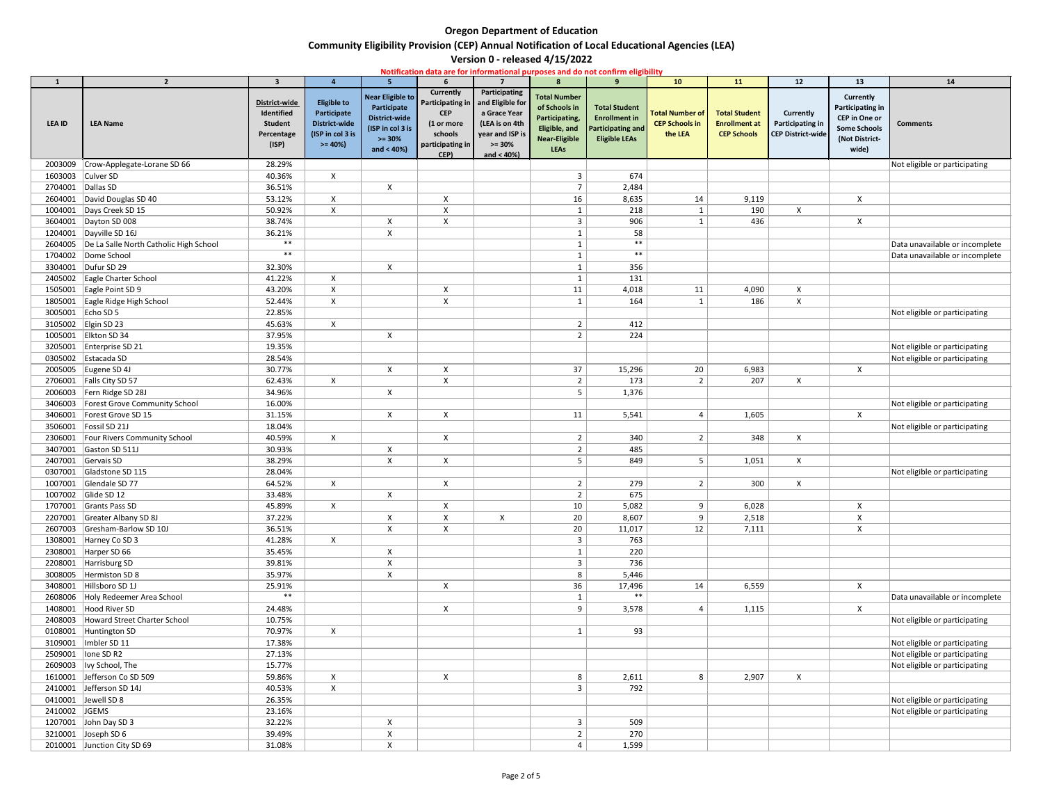# **Community Eligibility Provision (CEP) Annual Notification of Local Educational Agencies (LEA)**

| Notification data are for informational purposes and do not confirm eligibility |                                                    |                                                                      |                                                                                           |                                                                                                       |                                                                                                         |                                                                                                                      |                                                                                                                |                                                                                                  |                                                            |                                                                    |                                                                  |                                                                                                                |                                |
|---------------------------------------------------------------------------------|----------------------------------------------------|----------------------------------------------------------------------|-------------------------------------------------------------------------------------------|-------------------------------------------------------------------------------------------------------|---------------------------------------------------------------------------------------------------------|----------------------------------------------------------------------------------------------------------------------|----------------------------------------------------------------------------------------------------------------|--------------------------------------------------------------------------------------------------|------------------------------------------------------------|--------------------------------------------------------------------|------------------------------------------------------------------|----------------------------------------------------------------------------------------------------------------|--------------------------------|
|                                                                                 | $\overline{2}$                                     | $\overline{\mathbf{3}}$                                              |                                                                                           | 5 <sup>1</sup>                                                                                        |                                                                                                         |                                                                                                                      | $\mathbf{R}$                                                                                                   |                                                                                                  | <b>10</b>                                                  | 11                                                                 | 12                                                               | 13                                                                                                             | 14                             |
| <b>LEA ID</b>                                                                   | <b>LEA Name</b>                                    | District-wide<br>Identified<br><b>Student</b><br>Percentage<br>(ISP) | <b>Eligible to</b><br>Participate<br><b>District-wide</b><br>(ISP in col 3 is<br>$>= 40%$ | <b>Near Eligible to</b><br>Participate<br>District-wide<br>(ISP in col 3 is<br>$>= 30%$<br>and < 40%) | Currently<br><b>Participating in</b><br><b>CEP</b><br>(1 or more<br>schools<br>participating in<br>CEP) | Participating<br>and Eligible for<br>a Grace Year<br>(LEA is on 4th<br>year and ISP is<br>$>= 30%$<br>and $< 40\%$ ) | <b>Total Number</b><br>of Schools in<br>Participating,<br>Eligible, and<br><b>Near-Eligible</b><br><b>LEAs</b> | <b>Total Student</b><br><b>Enrollment in</b><br><b>Participating and</b><br><b>Eligible LEAs</b> | <b>Total Number of</b><br><b>CEP Schools in</b><br>the LEA | <b>Total Student</b><br><b>Enrollment at</b><br><b>CEP Schools</b> | Currently<br><b>Participating in</b><br><b>CEP District-wide</b> | Currently<br><b>Participating in</b><br><b>CEP</b> in One or<br><b>Some Schools</b><br>(Not District-<br>wide) | <b>Comments</b>                |
| 2003009                                                                         | Crow-Applegate-Lorane SD 66                        | 28.29%                                                               |                                                                                           |                                                                                                       |                                                                                                         |                                                                                                                      |                                                                                                                |                                                                                                  |                                                            |                                                                    |                                                                  |                                                                                                                | Not eligible or participating  |
| 1603003                                                                         | Culver SD                                          | 40.36%                                                               | $\mathsf{X}$                                                                              |                                                                                                       |                                                                                                         |                                                                                                                      |                                                                                                                | 674                                                                                              |                                                            |                                                                    |                                                                  |                                                                                                                |                                |
| 2704001                                                                         | Dallas SD                                          | 36.51%                                                               |                                                                                           | $\mathsf{X}$                                                                                          |                                                                                                         |                                                                                                                      |                                                                                                                | 2,484                                                                                            |                                                            |                                                                    |                                                                  |                                                                                                                |                                |
| 2604001                                                                         | David Douglas SD 40                                | 53.12%                                                               | X                                                                                         |                                                                                                       | X                                                                                                       |                                                                                                                      | 16                                                                                                             | 8,635                                                                                            | 14                                                         | 9,119                                                              |                                                                  | $\mathsf{X}$                                                                                                   |                                |
| 1004001                                                                         | Days Creek SD 15                                   | 50.92%                                                               | $\mathsf{X}$                                                                              |                                                                                                       | $\mathsf{X}$                                                                                            |                                                                                                                      |                                                                                                                | 218                                                                                              | $\mathbf{1}$                                               | 190                                                                | $\boldsymbol{\mathsf{X}}$                                        |                                                                                                                |                                |
|                                                                                 | 3604001   Dayton SD 008                            | 38.74%                                                               |                                                                                           | X                                                                                                     | $\boldsymbol{\mathsf{X}}$                                                                               |                                                                                                                      |                                                                                                                | 906                                                                                              |                                                            | 436                                                                |                                                                  | $\boldsymbol{\mathsf{X}}$                                                                                      |                                |
|                                                                                 | 1204001 Dayville SD 16J                            | 36.21%                                                               |                                                                                           | $\mathsf{X}$                                                                                          |                                                                                                         |                                                                                                                      |                                                                                                                | 58                                                                                               |                                                            |                                                                    |                                                                  |                                                                                                                |                                |
|                                                                                 | 2604005  De La Salle North Catholic High School    | $***$                                                                |                                                                                           |                                                                                                       |                                                                                                         |                                                                                                                      |                                                                                                                | $***$                                                                                            |                                                            |                                                                    |                                                                  |                                                                                                                | Data unavailable or incomplete |
|                                                                                 | 1704002 Dome School                                | $***$                                                                |                                                                                           |                                                                                                       |                                                                                                         |                                                                                                                      |                                                                                                                | $***$                                                                                            |                                                            |                                                                    |                                                                  |                                                                                                                | Data unavailable or incomplete |
| 3304001                                                                         | Dufur SD 29                                        | 32.30%                                                               |                                                                                           | $\mathsf{X}$                                                                                          |                                                                                                         |                                                                                                                      |                                                                                                                | 356                                                                                              |                                                            |                                                                    |                                                                  |                                                                                                                |                                |
|                                                                                 | 2405002 Eagle Charter School                       | 41.22%                                                               | $\mathsf{X}$                                                                              |                                                                                                       |                                                                                                         |                                                                                                                      |                                                                                                                | 131                                                                                              |                                                            |                                                                    |                                                                  |                                                                                                                |                                |
|                                                                                 | 1505001 Eagle Point SD 9                           | 43.20%                                                               | $\mathsf{X}$                                                                              |                                                                                                       | $\boldsymbol{\mathsf{X}}$                                                                               |                                                                                                                      | 11                                                                                                             | 4,018                                                                                            | 11                                                         | 4,090                                                              | $\boldsymbol{\mathsf{X}}$                                        |                                                                                                                |                                |
| 3005001 Echo SD 5                                                               | 1805001 Eagle Ridge High School                    | 52.44%                                                               | $\mathsf{X}$                                                                              |                                                                                                       | $\boldsymbol{\mathsf{X}}$                                                                               |                                                                                                                      |                                                                                                                | 164                                                                                              | $\mathbf 1$                                                | 186                                                                | $\pmb{\times}$                                                   |                                                                                                                |                                |
|                                                                                 | 3105002 Elgin SD 23                                | 22.85%<br>45.63%                                                     | $\mathsf{X}$                                                                              |                                                                                                       |                                                                                                         |                                                                                                                      | $\overline{2}$                                                                                                 | 412                                                                                              |                                                            |                                                                    |                                                                  |                                                                                                                | Not eligible or participating  |
|                                                                                 | 1005001 Elkton SD 34                               | 37.95%                                                               |                                                                                           | X                                                                                                     |                                                                                                         |                                                                                                                      |                                                                                                                | 224                                                                                              |                                                            |                                                                    |                                                                  |                                                                                                                |                                |
| 3205001                                                                         | Enterprise SD 21                                   | 19.35%                                                               |                                                                                           |                                                                                                       |                                                                                                         |                                                                                                                      |                                                                                                                |                                                                                                  |                                                            |                                                                    |                                                                  |                                                                                                                | Not eligible or participating  |
|                                                                                 | 0305002 Estacada SD                                | 28.54%                                                               |                                                                                           |                                                                                                       |                                                                                                         |                                                                                                                      |                                                                                                                |                                                                                                  |                                                            |                                                                    |                                                                  |                                                                                                                | Not eligible or participating  |
|                                                                                 | 2005005 Eugene SD 4J                               | 30.77%                                                               |                                                                                           | $\mathsf{X}$                                                                                          | $\pmb{\times}$                                                                                          |                                                                                                                      | 37                                                                                                             | 15,296                                                                                           | 20                                                         | 6,983                                                              |                                                                  | $\mathsf{X}$                                                                                                   |                                |
| 2706001                                                                         | Falls City SD 57                                   | 62.43%                                                               | $\mathsf{X}$                                                                              |                                                                                                       | $\mathsf{X}$                                                                                            |                                                                                                                      | $\overline{2}$                                                                                                 | 173                                                                                              | $\overline{2}$                                             | 207                                                                | $\mathsf{X}$                                                     |                                                                                                                |                                |
| 2006003                                                                         | Fern Ridge SD 28J                                  | 34.96%                                                               |                                                                                           | X                                                                                                     |                                                                                                         |                                                                                                                      |                                                                                                                | 1,376                                                                                            |                                                            |                                                                    |                                                                  |                                                                                                                |                                |
| 3406003                                                                         | Forest Grove Community School                      | 16.00%                                                               |                                                                                           |                                                                                                       |                                                                                                         |                                                                                                                      |                                                                                                                |                                                                                                  |                                                            |                                                                    |                                                                  |                                                                                                                | Not eligible or participating  |
|                                                                                 | 3406001   Forest Grove SD 15                       | 31.15%                                                               |                                                                                           | X                                                                                                     | $\boldsymbol{\mathsf{X}}$                                                                               |                                                                                                                      | 11                                                                                                             | 5,541                                                                                            | $\overline{4}$                                             | 1,605                                                              |                                                                  | $\mathsf{X}$                                                                                                   |                                |
|                                                                                 | 3506001   Fossil SD 21J                            | 18.04%                                                               |                                                                                           |                                                                                                       |                                                                                                         |                                                                                                                      |                                                                                                                |                                                                                                  |                                                            |                                                                    |                                                                  |                                                                                                                | Not eligible or participating  |
| 2306001                                                                         | Four Rivers Community School                       | 40.59%                                                               | $\mathsf{X}$                                                                              |                                                                                                       | $\boldsymbol{\mathsf{X}}$                                                                               |                                                                                                                      | 2                                                                                                              | 340                                                                                              | $\overline{2}$                                             | 348                                                                | $\boldsymbol{\mathsf{X}}$                                        |                                                                                                                |                                |
| 3407001                                                                         | Gaston SD 511J                                     | 30.93%                                                               |                                                                                           | X                                                                                                     |                                                                                                         |                                                                                                                      |                                                                                                                | 485                                                                                              |                                                            |                                                                    |                                                                  |                                                                                                                |                                |
| 2407001                                                                         | Gervais SD                                         | 38.29%                                                               |                                                                                           | $\mathsf{X}$                                                                                          | $\boldsymbol{\mathsf{X}}$                                                                               |                                                                                                                      |                                                                                                                | 849                                                                                              | 5 <sub>1</sub>                                             | 1,051                                                              | $\mathsf{X}$                                                     |                                                                                                                |                                |
| 0307001                                                                         | Gladstone SD 115                                   | 28.04%                                                               |                                                                                           |                                                                                                       |                                                                                                         |                                                                                                                      |                                                                                                                |                                                                                                  |                                                            |                                                                    |                                                                  |                                                                                                                | Not eligible or participating  |
| 1007001                                                                         | Glendale SD 77                                     | 64.52%                                                               | $\mathsf{X}$                                                                              |                                                                                                       | $\boldsymbol{\mathsf{X}}$                                                                               |                                                                                                                      | 2                                                                                                              | 279                                                                                              | 2                                                          | 300                                                                | $\pmb{\times}$                                                   |                                                                                                                |                                |
| 1007002                                                                         | Glide SD 12                                        | 33.48%                                                               |                                                                                           | X                                                                                                     |                                                                                                         |                                                                                                                      | 2                                                                                                              | 675                                                                                              |                                                            |                                                                    |                                                                  |                                                                                                                |                                |
| 1707001                                                                         | Grants Pass SD                                     | 45.89%                                                               | $\mathsf{X}$                                                                              |                                                                                                       | $\boldsymbol{\mathsf{X}}$                                                                               |                                                                                                                      | 10                                                                                                             | 5,082                                                                                            | 9                                                          | 6,028                                                              |                                                                  | X                                                                                                              |                                |
| 2207001                                                                         | Greater Albany SD 8J                               | 37.22%                                                               |                                                                                           | X                                                                                                     | $\boldsymbol{\mathsf{X}}$                                                                               | X                                                                                                                    | 20                                                                                                             | 8,607                                                                                            | 9                                                          | 2,518                                                              |                                                                  | $\boldsymbol{\mathsf{X}}$                                                                                      |                                |
|                                                                                 | 2607003 Gresham-Barlow SD 10J                      | 36.51%                                                               |                                                                                           | $\mathsf{X}$                                                                                          | $\mathsf{X}$                                                                                            |                                                                                                                      | 20                                                                                                             | 11,017                                                                                           | 12                                                         | 7,111                                                              |                                                                  | $\pmb{\mathsf{X}}$                                                                                             |                                |
| 1308001                                                                         | Harney Co SD 3                                     | 41.28%                                                               | $\mathsf{X}$                                                                              |                                                                                                       |                                                                                                         |                                                                                                                      |                                                                                                                | 763                                                                                              |                                                            |                                                                    |                                                                  |                                                                                                                |                                |
| 2308001                                                                         | Harper SD 66                                       | 35.45%                                                               |                                                                                           | X                                                                                                     |                                                                                                         |                                                                                                                      |                                                                                                                | 220                                                                                              |                                                            |                                                                    |                                                                  |                                                                                                                |                                |
| 2208001                                                                         | Harrisburg SD                                      | 39.81%                                                               |                                                                                           | X                                                                                                     |                                                                                                         |                                                                                                                      |                                                                                                                | 736                                                                                              |                                                            |                                                                    |                                                                  |                                                                                                                |                                |
| 3008005                                                                         | Hermiston SD 8                                     | 35.97%                                                               |                                                                                           | X                                                                                                     |                                                                                                         |                                                                                                                      | 8                                                                                                              | 5,446                                                                                            |                                                            |                                                                    |                                                                  |                                                                                                                |                                |
| 3408001                                                                         | Hillsboro SD 1J                                    | 25.91%<br>$***$                                                      |                                                                                           |                                                                                                       | $\boldsymbol{\mathsf{X}}$                                                                               |                                                                                                                      | 36                                                                                                             | 17,496<br>$***$                                                                                  | 14                                                         | 6,559                                                              |                                                                  | $\mathsf{X}$                                                                                                   |                                |
| 1408001                                                                         | 2608006 Holy Redeemer Area School<br>Hood River SD | 24.48%                                                               |                                                                                           |                                                                                                       | $\boldsymbol{\mathsf{X}}$                                                                               |                                                                                                                      | 9                                                                                                              | 3,578                                                                                            | 4                                                          | 1,115                                                              |                                                                  | $\mathsf{X}$                                                                                                   | Data unavailable or incomplete |
| 2408003                                                                         | Howard Street Charter School                       | 10.75%                                                               |                                                                                           |                                                                                                       |                                                                                                         |                                                                                                                      |                                                                                                                |                                                                                                  |                                                            |                                                                    |                                                                  |                                                                                                                | Not eligible or participating  |
| 0108001                                                                         | Huntington SD                                      | 70.97%                                                               | $\mathsf{X}$                                                                              |                                                                                                       |                                                                                                         |                                                                                                                      |                                                                                                                | 93                                                                                               |                                                            |                                                                    |                                                                  |                                                                                                                |                                |
| 3109001                                                                         | Imbler SD 11                                       | 17.38%                                                               |                                                                                           |                                                                                                       |                                                                                                         |                                                                                                                      |                                                                                                                |                                                                                                  |                                                            |                                                                    |                                                                  |                                                                                                                | Not eligible or participating  |
| 2509001                                                                         | lone SD R2                                         | 27.13%                                                               |                                                                                           |                                                                                                       |                                                                                                         |                                                                                                                      |                                                                                                                |                                                                                                  |                                                            |                                                                    |                                                                  |                                                                                                                | Not eligible or participating  |
| 2609003                                                                         | Ivy School, The                                    | 15.77%                                                               |                                                                                           |                                                                                                       |                                                                                                         |                                                                                                                      |                                                                                                                |                                                                                                  |                                                            |                                                                    |                                                                  |                                                                                                                | Not eligible or participating  |
| 1610001                                                                         | Jefferson Co SD 509                                | 59.86%                                                               | $\mathsf{X}$                                                                              |                                                                                                       | $\boldsymbol{\mathsf{X}}$                                                                               |                                                                                                                      | 8                                                                                                              | 2,611                                                                                            | 8                                                          | 2,907                                                              | $\boldsymbol{\mathsf{X}}$                                        |                                                                                                                |                                |
| 2410001                                                                         | Jefferson SD 14J                                   | 40.53%                                                               | $\mathsf{X}$                                                                              |                                                                                                       |                                                                                                         |                                                                                                                      | 3                                                                                                              | 792                                                                                              |                                                            |                                                                    |                                                                  |                                                                                                                |                                |
|                                                                                 | 0410001 Jewell SD 8                                | 26.35%                                                               |                                                                                           |                                                                                                       |                                                                                                         |                                                                                                                      |                                                                                                                |                                                                                                  |                                                            |                                                                    |                                                                  |                                                                                                                | Not eligible or participating  |
| 2410002 JGEMS                                                                   |                                                    | 23.16%                                                               |                                                                                           |                                                                                                       |                                                                                                         |                                                                                                                      |                                                                                                                |                                                                                                  |                                                            |                                                                    |                                                                  |                                                                                                                | Not eligible or participating  |
| 1207001                                                                         | John Day SD 3                                      | 32.22%                                                               |                                                                                           | X                                                                                                     |                                                                                                         |                                                                                                                      | 3                                                                                                              | 509                                                                                              |                                                            |                                                                    |                                                                  |                                                                                                                |                                |
|                                                                                 | 3210001 Joseph SD 6                                | 39.49%                                                               |                                                                                           | X                                                                                                     |                                                                                                         |                                                                                                                      |                                                                                                                | 270                                                                                              |                                                            |                                                                    |                                                                  |                                                                                                                |                                |
|                                                                                 | 2010001 Junction City SD 69                        | 31.08%                                                               |                                                                                           | X                                                                                                     |                                                                                                         |                                                                                                                      |                                                                                                                | 1,599                                                                                            |                                                            |                                                                    |                                                                  |                                                                                                                |                                |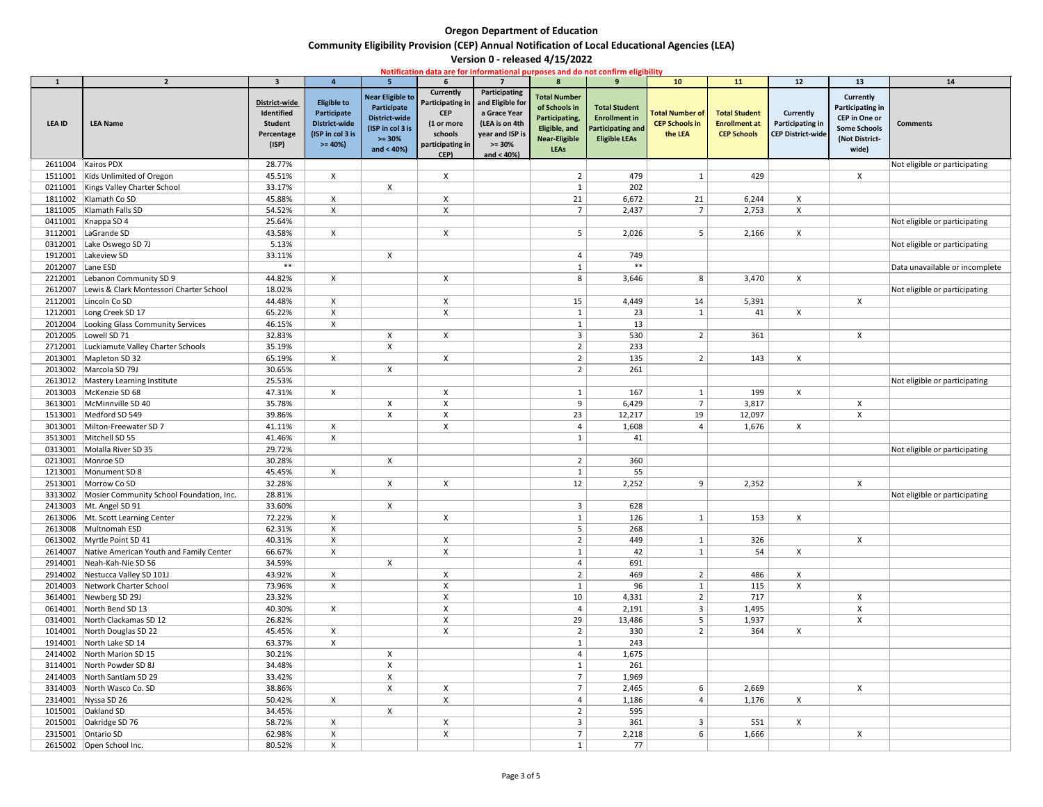# **Community Eligibility Provision (CEP) Annual Notification of Local Educational Agencies (LEA)**

| Notification data are for informational purposes and do not confirm eligibility |                                                      |                                                                      |                                                                                           |                                                                                                       |                                                                                                                |                                                                                                                     |                                                                                                                |                                                                                                  |                                                            |                                                                    |                                                                  |                                                                                                                |                                |
|---------------------------------------------------------------------------------|------------------------------------------------------|----------------------------------------------------------------------|-------------------------------------------------------------------------------------------|-------------------------------------------------------------------------------------------------------|----------------------------------------------------------------------------------------------------------------|---------------------------------------------------------------------------------------------------------------------|----------------------------------------------------------------------------------------------------------------|--------------------------------------------------------------------------------------------------|------------------------------------------------------------|--------------------------------------------------------------------|------------------------------------------------------------------|----------------------------------------------------------------------------------------------------------------|--------------------------------|
|                                                                                 | $\overline{2}$                                       | $\overline{\mathbf{3}}$                                              |                                                                                           | 5 <sup>1</sup>                                                                                        |                                                                                                                |                                                                                                                     | $\mathbf{R}$                                                                                                   |                                                                                                  | <b>10</b>                                                  | 11                                                                 | 12                                                               | 13                                                                                                             | 14                             |
| <b>LEA ID</b>                                                                   | <b>LEA Name</b>                                      | District-wide<br>Identified<br><b>Student</b><br>Percentage<br>(ISP) | <b>Eligible to</b><br>Participate<br><b>District-wide</b><br>(ISP in col 3 is<br>$>= 40%$ | <b>Near Eligible to</b><br>Participate<br>District-wide<br>(ISP in col 3 is<br>$>= 30%$<br>and < 40%) | <b>Currently</b><br><b>Participating in</b><br><b>CEP</b><br>(1 or more<br>schools<br>participating in<br>CEP) | Participating<br>and Eligible for<br>a Grace Year<br>(LEA is on 4th<br>year and ISP is<br>$>= 30%$<br>and $< 40%$ ) | <b>Total Number</b><br>of Schools in<br>Participating,<br>Eligible, and<br><b>Near-Eligible</b><br><b>LEAs</b> | <b>Total Student</b><br><b>Enrollment in</b><br><b>Participating and</b><br><b>Eligible LEAs</b> | <b>Total Number of</b><br><b>CEP Schools in</b><br>the LEA | <b>Total Student</b><br><b>Enrollment at</b><br><b>CEP Schools</b> | Currently<br><b>Participating in</b><br><b>CEP District-wide</b> | <b>Currently</b><br><b>Participating in</b><br>CEP in One or<br><b>Some Schools</b><br>(Not District-<br>wide) | <b>Comments</b>                |
| 2611004 Kairos PDX                                                              |                                                      | 28.77%                                                               |                                                                                           |                                                                                                       |                                                                                                                |                                                                                                                     |                                                                                                                |                                                                                                  |                                                            |                                                                    |                                                                  |                                                                                                                | Not eligible or participating  |
| 1511001                                                                         | Kids Unlimited of Oregon                             | 45.51%                                                               | $\mathsf{X}$                                                                              |                                                                                                       | $\boldsymbol{\mathsf{X}}$                                                                                      |                                                                                                                     |                                                                                                                | 479                                                                                              |                                                            | 429                                                                |                                                                  | $\mathsf{X}$                                                                                                   |                                |
|                                                                                 | 0211001   Kings Valley Charter School                | 33.17%                                                               |                                                                                           | $\mathsf{X}$                                                                                          |                                                                                                                |                                                                                                                     |                                                                                                                | 202                                                                                              |                                                            |                                                                    |                                                                  |                                                                                                                |                                |
|                                                                                 | 1811002 Klamath Co SD                                | 45.88%                                                               | X                                                                                         |                                                                                                       | X                                                                                                              |                                                                                                                     | 21                                                                                                             | 6,672                                                                                            | 21                                                         | 6,244                                                              | X                                                                |                                                                                                                |                                |
|                                                                                 | 1811005   Klamath Falls SD                           | 54.52%                                                               | $\mathsf{X}$                                                                              |                                                                                                       | $\mathsf{X}$                                                                                                   |                                                                                                                     |                                                                                                                | 2,437                                                                                            | $7\overline{ }$                                            | 2,753                                                              | $\pmb{\times}$                                                   |                                                                                                                |                                |
|                                                                                 | 0411001   Knappa SD 4                                | 25.64%                                                               |                                                                                           |                                                                                                       |                                                                                                                |                                                                                                                     |                                                                                                                |                                                                                                  |                                                            |                                                                    |                                                                  |                                                                                                                | Not eligible or participating  |
| 3112001                                                                         | LaGrande SD                                          | 43.58%                                                               | $\mathsf{X}$                                                                              |                                                                                                       | $\boldsymbol{\mathsf{X}}$                                                                                      |                                                                                                                     | .5                                                                                                             | 2,026                                                                                            | 5                                                          | 2,166                                                              | $\boldsymbol{\mathsf{X}}$                                        |                                                                                                                |                                |
| 0312001                                                                         | Lake Oswego SD 7J                                    | 5.13%                                                                |                                                                                           |                                                                                                       |                                                                                                                |                                                                                                                     |                                                                                                                |                                                                                                  |                                                            |                                                                    |                                                                  |                                                                                                                | Not eligible or participating  |
| 1912001                                                                         | Lakeview SD                                          | 33.11%                                                               |                                                                                           | $\mathsf{X}$                                                                                          |                                                                                                                |                                                                                                                     |                                                                                                                | 749                                                                                              |                                                            |                                                                    |                                                                  |                                                                                                                |                                |
| 2012007                                                                         | Lane ESD                                             | $***$                                                                |                                                                                           |                                                                                                       |                                                                                                                |                                                                                                                     |                                                                                                                | $***$                                                                                            |                                                            |                                                                    |                                                                  |                                                                                                                | Data unavailable or incomplete |
| 2212001                                                                         | Lebanon Community SD 9                               | 44.82%                                                               | $\mathsf{X}$                                                                              |                                                                                                       | $\boldsymbol{\mathsf{X}}$                                                                                      |                                                                                                                     | 8                                                                                                              | 3,646                                                                                            | 8                                                          | 3,470                                                              | $\mathsf{X}$                                                     |                                                                                                                |                                |
| 2612007                                                                         | Lewis & Clark Montessori Charter School              | 18.02%                                                               |                                                                                           |                                                                                                       |                                                                                                                |                                                                                                                     |                                                                                                                |                                                                                                  |                                                            |                                                                    |                                                                  |                                                                                                                | Not eligible or participating  |
|                                                                                 | 2112001   Lincoln Co SD                              | 44.48%                                                               | $\mathsf{X}$                                                                              |                                                                                                       | $\boldsymbol{\mathsf{X}}$                                                                                      |                                                                                                                     | 15                                                                                                             | 4,449                                                                                            | 14                                                         | 5,391                                                              |                                                                  | $\mathsf{X}$                                                                                                   |                                |
| 1212001<br>2012004                                                              | Long Creek SD 17<br>Looking Glass Community Services | 65.22%<br>46.15%                                                     | $\mathsf{X}$<br>$\mathsf{X}$                                                              |                                                                                                       | X                                                                                                              |                                                                                                                     |                                                                                                                | 23<br>13                                                                                         | 1                                                          | 41                                                                 | X                                                                |                                                                                                                |                                |
| 2012005                                                                         | Lowell SD 71                                         | 32.83%                                                               |                                                                                           | X                                                                                                     | $\boldsymbol{\mathsf{X}}$                                                                                      |                                                                                                                     |                                                                                                                | 530                                                                                              | $\overline{2}$                                             | 361                                                                |                                                                  | $\mathsf{X}$                                                                                                   |                                |
| 2712001                                                                         | Luckiamute Valley Charter Schools                    | 35.19%                                                               |                                                                                           | X                                                                                                     |                                                                                                                |                                                                                                                     |                                                                                                                | 233                                                                                              |                                                            |                                                                    |                                                                  |                                                                                                                |                                |
|                                                                                 | 2013001   Mapleton SD 32                             | 65.19%                                                               | $\mathsf{X}$                                                                              |                                                                                                       | $\pmb{\times}$                                                                                                 |                                                                                                                     |                                                                                                                | 135                                                                                              | $\overline{2}$                                             | 143                                                                | $\mathsf{X}$                                                     |                                                                                                                |                                |
|                                                                                 | 2013002   Marcola SD 79J                             | 30.65%                                                               |                                                                                           | X                                                                                                     |                                                                                                                |                                                                                                                     |                                                                                                                | 261                                                                                              |                                                            |                                                                    |                                                                  |                                                                                                                |                                |
|                                                                                 | 2613012 Mastery Learning Institute                   | 25.53%                                                               |                                                                                           |                                                                                                       |                                                                                                                |                                                                                                                     |                                                                                                                |                                                                                                  |                                                            |                                                                    |                                                                  |                                                                                                                | Not eligible or participating  |
|                                                                                 | 2013003   McKenzie SD 68                             | 47.31%                                                               | $\mathsf{X}$                                                                              |                                                                                                       | X                                                                                                              |                                                                                                                     |                                                                                                                | 167                                                                                              |                                                            | 199                                                                | $\mathsf{X}$                                                     |                                                                                                                |                                |
| 3613001                                                                         | McMinnville SD 40                                    | 35.78%                                                               |                                                                                           | X                                                                                                     | $\boldsymbol{\mathsf{X}}$                                                                                      |                                                                                                                     | q                                                                                                              | 6,429                                                                                            | $\overline{7}$                                             | 3,817                                                              |                                                                  | X                                                                                                              |                                |
|                                                                                 | 1513001   Medford SD 549                             | 39.86%                                                               |                                                                                           | X                                                                                                     | $\pmb{\mathsf{X}}$                                                                                             |                                                                                                                     | 23                                                                                                             | 12,217                                                                                           | 19                                                         | 12,097                                                             |                                                                  | X                                                                                                              |                                |
|                                                                                 | 3013001 Milton-Freewater SD 7                        | 41.11%                                                               | X                                                                                         |                                                                                                       | $\boldsymbol{\mathsf{X}}$                                                                                      |                                                                                                                     |                                                                                                                | 1,608                                                                                            | $\overline{4}$                                             | 1,676                                                              | X                                                                |                                                                                                                |                                |
| 3513001                                                                         | Mitchell SD 55                                       | 41.46%                                                               | $\mathsf{X}$                                                                              |                                                                                                       |                                                                                                                |                                                                                                                     |                                                                                                                | 41                                                                                               |                                                            |                                                                    |                                                                  |                                                                                                                |                                |
| 0313001                                                                         | Molalla River SD 35                                  | 29.72%                                                               |                                                                                           |                                                                                                       |                                                                                                                |                                                                                                                     |                                                                                                                |                                                                                                  |                                                            |                                                                    |                                                                  |                                                                                                                | Not eligible or participating  |
| 0213001                                                                         | Monroe SD                                            | 30.28%                                                               |                                                                                           | X                                                                                                     |                                                                                                                |                                                                                                                     | 2                                                                                                              | 360                                                                                              |                                                            |                                                                    |                                                                  |                                                                                                                |                                |
| 1213001                                                                         | Monument SD 8                                        | 45.45%                                                               | $\mathsf{X}$                                                                              |                                                                                                       |                                                                                                                |                                                                                                                     |                                                                                                                | 55                                                                                               |                                                            |                                                                    |                                                                  |                                                                                                                |                                |
|                                                                                 | 2513001 Morrow Co SD                                 | 32.28%                                                               |                                                                                           | $\mathsf{X}$                                                                                          | $\boldsymbol{\mathsf{X}}$                                                                                      |                                                                                                                     | 12                                                                                                             | 2,252                                                                                            | 9                                                          | 2,352                                                              |                                                                  | $\mathsf{X}$                                                                                                   |                                |
|                                                                                 | 3313002 Mosier Community School Foundation, Inc.     | 28.81%                                                               |                                                                                           |                                                                                                       |                                                                                                                |                                                                                                                     |                                                                                                                |                                                                                                  |                                                            |                                                                    |                                                                  |                                                                                                                | Not eligible or participating  |
|                                                                                 | 2413003 Mt. Angel SD 91                              | 33.60%                                                               |                                                                                           | X                                                                                                     |                                                                                                                |                                                                                                                     |                                                                                                                | 628                                                                                              |                                                            |                                                                    |                                                                  |                                                                                                                |                                |
|                                                                                 | 2613006   Mt. Scott Learning Center                  | 72.22%                                                               | $\mathsf{X}$                                                                              |                                                                                                       | $\boldsymbol{\mathsf{X}}$                                                                                      |                                                                                                                     |                                                                                                                | 126                                                                                              | $\mathbf 1$                                                | 153                                                                | $\boldsymbol{\mathsf{X}}$                                        |                                                                                                                |                                |
|                                                                                 | 2613008 Multnomah ESD                                | 62.31%                                                               | $\mathsf{X}$                                                                              |                                                                                                       |                                                                                                                |                                                                                                                     |                                                                                                                | 268                                                                                              |                                                            |                                                                    |                                                                  |                                                                                                                |                                |
|                                                                                 | 0613002 Myrtle Point SD 41                           | 40.31%                                                               | $\mathsf{X}$                                                                              |                                                                                                       | $\boldsymbol{\mathsf{X}}$                                                                                      |                                                                                                                     |                                                                                                                | 449                                                                                              | 1                                                          | 326                                                                |                                                                  | $\mathsf{X}$                                                                                                   |                                |
| 2614007                                                                         | Native American Youth and Family Center              | 66.67%                                                               | $\mathsf{X}$                                                                              |                                                                                                       | $\boldsymbol{\mathsf{X}}$                                                                                      |                                                                                                                     |                                                                                                                | 42                                                                                               | $\mathbf{1}$                                               | 54                                                                 | $\mathsf{X}$                                                     |                                                                                                                |                                |
| 2914001                                                                         | Neah-Kah-Nie SD 56                                   | 34.59%                                                               |                                                                                           | $\mathsf{X}$                                                                                          |                                                                                                                |                                                                                                                     |                                                                                                                | 691                                                                                              |                                                            |                                                                    |                                                                  |                                                                                                                |                                |
| 2914002                                                                         | Nestucca Valley SD 101J                              | 43.92%                                                               | $\mathsf{X}$                                                                              |                                                                                                       | $\boldsymbol{\mathsf{X}}$                                                                                      |                                                                                                                     | 2                                                                                                              | 469                                                                                              | $\overline{2}$                                             | 486                                                                | $\mathsf{X}$                                                     |                                                                                                                |                                |
|                                                                                 | 2014003 Network Charter School                       | 73.96%                                                               | $\mathsf{X}$                                                                              |                                                                                                       | $\boldsymbol{\mathsf{X}}$                                                                                      |                                                                                                                     | $\mathbf 1$                                                                                                    | 96                                                                                               | $\mathbf{1}$                                               | 115                                                                | $\mathsf{X}$                                                     |                                                                                                                |                                |
| 3614001<br>0614001                                                              | Newberg SD 29J<br>North Bend SD 13                   | 23.32%<br>40.30%                                                     | $\mathsf{X}$                                                                              |                                                                                                       | $\pmb{\times}$<br>$\pmb{\mathsf{X}}$                                                                           |                                                                                                                     | 10                                                                                                             | 4,331<br>2,191                                                                                   | $\overline{2}$<br>$\mathbf{3}$                             | 717<br>1,495                                                       |                                                                  | X<br>$\mathsf{X}$                                                                                              |                                |
| 0314001                                                                         | North Clackamas SD 12                                | 26.82%                                                               |                                                                                           |                                                                                                       | $\boldsymbol{\mathsf{X}}$                                                                                      |                                                                                                                     | 29                                                                                                             | 13,486                                                                                           | 5                                                          | 1,937                                                              |                                                                  | X                                                                                                              |                                |
| 1014001                                                                         | North Douglas SD 22                                  | 45.45%                                                               | $\mathsf{X}$                                                                              |                                                                                                       | $\mathsf{X}$                                                                                                   |                                                                                                                     |                                                                                                                | 330                                                                                              | $\overline{2}$                                             | 364                                                                | $\mathsf{X}$                                                     |                                                                                                                |                                |
| 1914001                                                                         | North Lake SD 14                                     | 63.37%                                                               | $\mathsf{X}$                                                                              |                                                                                                       |                                                                                                                |                                                                                                                     |                                                                                                                | 243                                                                                              |                                                            |                                                                    |                                                                  |                                                                                                                |                                |
|                                                                                 | 2414002 North Marion SD 15                           | 30.21%                                                               |                                                                                           | X                                                                                                     |                                                                                                                |                                                                                                                     |                                                                                                                | 1,675                                                                                            |                                                            |                                                                    |                                                                  |                                                                                                                |                                |
| 3114001                                                                         | North Powder SD 8J                                   | 34.48%                                                               |                                                                                           | X                                                                                                     |                                                                                                                |                                                                                                                     |                                                                                                                | 261                                                                                              |                                                            |                                                                    |                                                                  |                                                                                                                |                                |
| 2414003                                                                         | North Santiam SD 29                                  | 33.42%                                                               |                                                                                           | X                                                                                                     |                                                                                                                |                                                                                                                     |                                                                                                                | 1,969                                                                                            |                                                            |                                                                    |                                                                  |                                                                                                                |                                |
| 3314003                                                                         | North Wasco Co. SD                                   | 38.86%                                                               |                                                                                           | $\mathsf{X}$                                                                                          | $\boldsymbol{\mathsf{X}}$                                                                                      |                                                                                                                     |                                                                                                                | 2,465                                                                                            | 6                                                          | 2,669                                                              |                                                                  | $\boldsymbol{\mathsf{X}}$                                                                                      |                                |
|                                                                                 | 2314001 Nyssa SD 26                                  | 50.42%                                                               | $\mathsf{X}$                                                                              |                                                                                                       | $\pmb{\times}$                                                                                                 |                                                                                                                     |                                                                                                                | 1,186                                                                                            | $\overline{a}$                                             | 1,176                                                              | $\mathsf{X}$                                                     |                                                                                                                |                                |
|                                                                                 | 1015001 Oakland SD                                   | 34.45%                                                               |                                                                                           | $\mathsf{X}$                                                                                          |                                                                                                                |                                                                                                                     |                                                                                                                | 595                                                                                              |                                                            |                                                                    |                                                                  |                                                                                                                |                                |
| 2015001                                                                         | Oakridge SD 76                                       | 58.72%                                                               | $\mathsf{X}$                                                                              |                                                                                                       | X                                                                                                              |                                                                                                                     | 3                                                                                                              | 361                                                                                              | $\mathbf{3}$                                               | 551                                                                | $\boldsymbol{\mathsf{X}}$                                        |                                                                                                                |                                |
| 2315001 Ontario SD                                                              |                                                      | 62.98%                                                               | X                                                                                         |                                                                                                       | Χ                                                                                                              |                                                                                                                     |                                                                                                                | 2,218                                                                                            | 6                                                          | 1,666                                                              |                                                                  | X                                                                                                              |                                |
|                                                                                 | 2615002 Open School Inc.                             | 80.52%                                                               | $\mathsf{X}$                                                                              |                                                                                                       |                                                                                                                |                                                                                                                     |                                                                                                                | 77                                                                                               |                                                            |                                                                    |                                                                  |                                                                                                                |                                |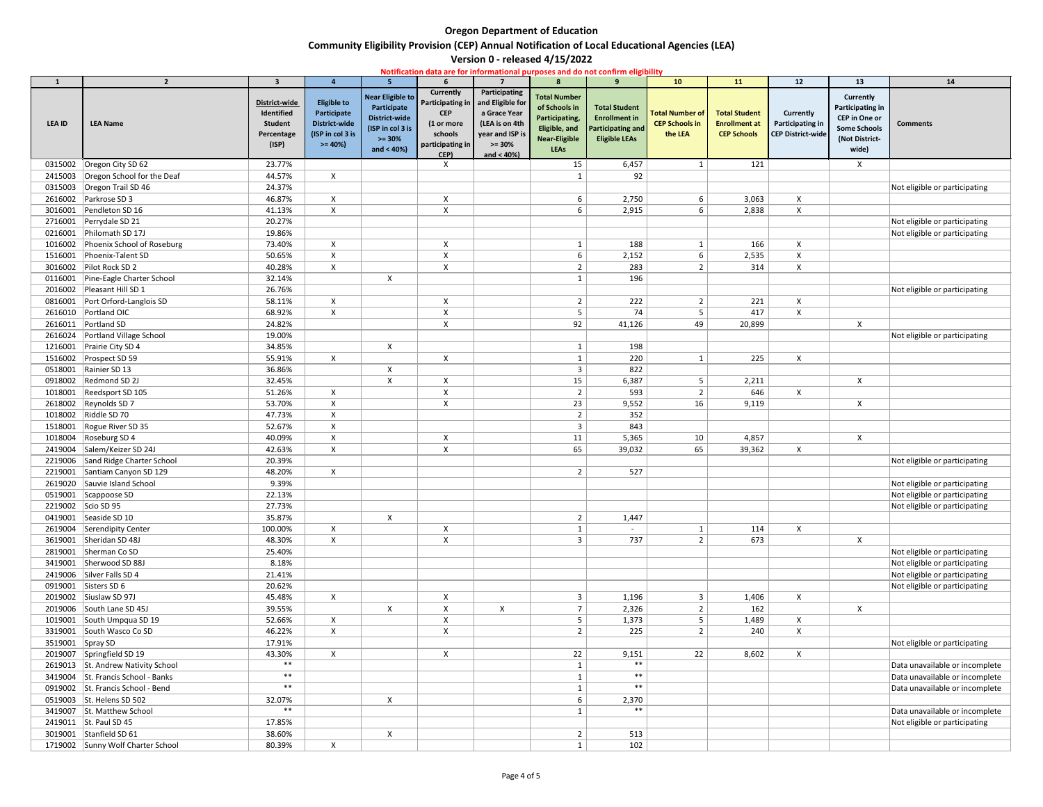# **Community Eligibility Provision (CEP) Annual Notification of Local Educational Agencies (LEA)**

|                  |                                    |                                                                      |                                                                                           |                                                                                                                  |                                                                                                         |                                                                                                                      |                                                                                                                | Notification data are for informational purposes and do not confirm eligibility                  |                                                            |                                                                    |                                                                         |                                                                                                                |                                |
|------------------|------------------------------------|----------------------------------------------------------------------|-------------------------------------------------------------------------------------------|------------------------------------------------------------------------------------------------------------------|---------------------------------------------------------------------------------------------------------|----------------------------------------------------------------------------------------------------------------------|----------------------------------------------------------------------------------------------------------------|--------------------------------------------------------------------------------------------------|------------------------------------------------------------|--------------------------------------------------------------------|-------------------------------------------------------------------------|----------------------------------------------------------------------------------------------------------------|--------------------------------|
|                  | $\overline{2}$                     | $\overline{\mathbf{3}}$                                              |                                                                                           | 5.                                                                                                               |                                                                                                         |                                                                                                                      | $\mathbf{R}$                                                                                                   |                                                                                                  | <b>10</b>                                                  | 11                                                                 | 12                                                                      | 13                                                                                                             | 14                             |
| <b>LEA ID</b>    | <b>LEA Name</b>                    | District-wide<br>Identified<br><b>Student</b><br>Percentage<br>(ISP) | <b>Eligible to</b><br>Participate<br><b>District-wide</b><br>(ISP in col 3 is<br>$>= 40%$ | <b>Near Eligible to</b><br>Participate<br><b>District-wide</b><br>(ISP in col 3 is<br>$>= 30%$<br>and $< 40\%$ ) | Currently<br><b>Participating in</b><br><b>CEP</b><br>(1 or more<br>schools<br>participating in<br>CEP) | Participating<br>and Eligible for<br>a Grace Year<br>(LEA is on 4th<br>year and ISP is<br>$>= 30%$<br>and $< 40\%$ ) | <b>Total Number</b><br>of Schools in<br>Participating,<br>Eligible, and<br><b>Near-Eligible</b><br><b>LEAs</b> | <b>Total Student</b><br><b>Enrollment in</b><br><b>Participating and</b><br><b>Eligible LEAs</b> | <b>Total Number of</b><br><b>CEP Schools in</b><br>the LEA | <b>Total Student</b><br><b>Enrollment at</b><br><b>CEP Schools</b> | <b>Currently</b><br><b>Participating in</b><br><b>CEP District-wide</b> | Currently<br><b>Participating in</b><br><b>CEP</b> in One or<br><b>Some Schools</b><br>(Not District-<br>wide) | <b>Comments</b>                |
|                  | 0315002 Oregon City SD 62          | 23.77%                                                               |                                                                                           |                                                                                                                  | $\boldsymbol{X}$                                                                                        |                                                                                                                      | 15                                                                                                             | 6,457                                                                                            | 1                                                          | 121                                                                |                                                                         | $\mathsf{X}$                                                                                                   |                                |
|                  | 2415003 Oregon School for the Deaf | 44.57%                                                               | $\mathsf{X}^-$                                                                            |                                                                                                                  |                                                                                                         |                                                                                                                      |                                                                                                                | 92                                                                                               |                                                            |                                                                    |                                                                         |                                                                                                                |                                |
|                  | 0315003 Oregon Trail SD 46         | 24.37%                                                               |                                                                                           |                                                                                                                  |                                                                                                         |                                                                                                                      |                                                                                                                |                                                                                                  |                                                            |                                                                    |                                                                         |                                                                                                                | Not eligible or participating  |
|                  | 2616002 Parkrose SD 3              | 46.87%                                                               | X                                                                                         |                                                                                                                  | X                                                                                                       |                                                                                                                      | 6                                                                                                              | 2,750                                                                                            | 6                                                          | 3,063                                                              | X                                                                       |                                                                                                                |                                |
|                  | 3016001 Pendleton SD 16            | 41.13%                                                               | $\mathsf{X}$                                                                              |                                                                                                                  | $\mathsf{X}$                                                                                            |                                                                                                                      | 6                                                                                                              | 2,915                                                                                            | 6                                                          | 2,838                                                              | $\pmb{\times}$                                                          |                                                                                                                |                                |
|                  | 2716001 Perrydale SD 21            | 20.27%                                                               |                                                                                           |                                                                                                                  |                                                                                                         |                                                                                                                      |                                                                                                                |                                                                                                  |                                                            |                                                                    |                                                                         |                                                                                                                | Not eligible or participating  |
|                  | 0216001 Philomath SD 17J           | 19.86%                                                               |                                                                                           |                                                                                                                  |                                                                                                         |                                                                                                                      |                                                                                                                |                                                                                                  |                                                            |                                                                    |                                                                         |                                                                                                                | Not eligible or participating  |
|                  | 1016002 Phoenix School of Roseburg | 73.40%                                                               | $\mathsf{X}$                                                                              |                                                                                                                  | $\pmb{\times}$                                                                                          |                                                                                                                      |                                                                                                                | 188                                                                                              | $\mathbf{1}$                                               | 166                                                                | $\pmb{\times}$                                                          |                                                                                                                |                                |
|                  | 1516001 Phoenix-Talent SD          | 50.65%                                                               | $\mathsf{X}^-$                                                                            |                                                                                                                  | $\boldsymbol{\mathsf{X}}$                                                                               |                                                                                                                      | 6                                                                                                              | 2,152                                                                                            | 6                                                          | 2,535                                                              | X                                                                       |                                                                                                                |                                |
|                  | 3016002 Pilot Rock SD 2            | 40.28%                                                               | $\mathsf{X}$                                                                              |                                                                                                                  | $\mathsf{X}$                                                                                            |                                                                                                                      |                                                                                                                | 283                                                                                              | $\overline{2}$                                             | 314                                                                | $\mathsf{X}$                                                            |                                                                                                                |                                |
|                  | 0116001 Pine-Eagle Charter School  | 32.14%                                                               |                                                                                           | $\mathsf{X}$                                                                                                     |                                                                                                         |                                                                                                                      |                                                                                                                | 196                                                                                              |                                                            |                                                                    |                                                                         |                                                                                                                |                                |
|                  | 2016002 Pleasant Hill SD 1         | 26.76%                                                               |                                                                                           |                                                                                                                  |                                                                                                         |                                                                                                                      |                                                                                                                |                                                                                                  |                                                            |                                                                    |                                                                         |                                                                                                                | Not eligible or participating  |
|                  | 0816001 Port Orford-Langlois SD    | 58.11%                                                               | $\mathsf{X}$                                                                              |                                                                                                                  | $\pmb{\times}$                                                                                          |                                                                                                                      | $\overline{2}$                                                                                                 | 222                                                                                              | 2                                                          | 221                                                                | $\boldsymbol{X}$                                                        |                                                                                                                |                                |
|                  | 2616010 Portland OIC               | 68.92%                                                               | X                                                                                         |                                                                                                                  | $\pmb{\times}$                                                                                          |                                                                                                                      | -5                                                                                                             | 74                                                                                               | 5                                                          | 417                                                                | X                                                                       |                                                                                                                |                                |
|                  | 2616011 Portland SD                | 24.82%                                                               |                                                                                           |                                                                                                                  | $\mathsf{X}$                                                                                            |                                                                                                                      | 92                                                                                                             | 41,126                                                                                           | 49                                                         | 20,899                                                             |                                                                         | $\boldsymbol{\mathsf{X}}$                                                                                      |                                |
|                  | 2616024   Portland Village School  | 19.00%                                                               |                                                                                           |                                                                                                                  |                                                                                                         |                                                                                                                      |                                                                                                                |                                                                                                  |                                                            |                                                                    |                                                                         |                                                                                                                | Not eligible or participating  |
|                  | 1216001 Prairie City SD 4          | 34.85%                                                               |                                                                                           | $\mathsf{X}$                                                                                                     |                                                                                                         |                                                                                                                      |                                                                                                                | 198                                                                                              |                                                            |                                                                    |                                                                         |                                                                                                                |                                |
|                  | 1516002 Prospect SD 59             | 55.91%                                                               | $\mathsf{X}$                                                                              |                                                                                                                  | $\pmb{\times}$                                                                                          |                                                                                                                      |                                                                                                                | 220                                                                                              | $\mathbf 1$                                                | 225                                                                | $\pmb{\times}$                                                          |                                                                                                                |                                |
|                  | 0518001   Rainier SD 13            | 36.86%                                                               |                                                                                           | X                                                                                                                |                                                                                                         |                                                                                                                      |                                                                                                                | 822                                                                                              |                                                            |                                                                    |                                                                         |                                                                                                                |                                |
|                  | 0918002   Redmond SD 2J            | 32.45%                                                               |                                                                                           | X                                                                                                                | $\mathsf{X}$                                                                                            |                                                                                                                      | 15                                                                                                             | 6,387                                                                                            | 5 <sub>1</sub>                                             | 2,211                                                              |                                                                         | $\boldsymbol{\mathsf{X}}$                                                                                      |                                |
|                  | 1018001   Reedsport SD 105         | 51.26%                                                               | $\mathsf{X}^-$                                                                            |                                                                                                                  | $\boldsymbol{\mathsf{X}}$                                                                               |                                                                                                                      |                                                                                                                | 593                                                                                              | $\overline{2}$                                             | 646                                                                | $\mathsf{X}$                                                            |                                                                                                                |                                |
|                  | 2618002   Reynolds SD 7            | 53.70%                                                               | X                                                                                         |                                                                                                                  | $\mathsf{X}$                                                                                            |                                                                                                                      | 23                                                                                                             | 9,552                                                                                            | 16                                                         | 9,119                                                              |                                                                         | $\mathsf{X}$                                                                                                   |                                |
|                  | 1018002   Riddle SD 70             | 47.73%                                                               | X                                                                                         |                                                                                                                  |                                                                                                         |                                                                                                                      | ຳ                                                                                                              | 352                                                                                              |                                                            |                                                                    |                                                                         |                                                                                                                |                                |
|                  | 1518001 Rogue River SD 35          | 52.67%                                                               | X                                                                                         |                                                                                                                  |                                                                                                         |                                                                                                                      | 3                                                                                                              | 843                                                                                              |                                                            |                                                                    |                                                                         |                                                                                                                |                                |
|                  | 1018004 Roseburg SD 4              | 40.09%                                                               | X                                                                                         |                                                                                                                  | $\boldsymbol{\mathsf{X}}$                                                                               |                                                                                                                      | 11                                                                                                             | 5,365                                                                                            | 10                                                         | 4,857                                                              |                                                                         | $\pmb{\times}$                                                                                                 |                                |
|                  | 2419004 Salem/Keizer SD 24J        | 42.63%                                                               | X                                                                                         |                                                                                                                  | $\pmb{\times}$                                                                                          |                                                                                                                      | 65                                                                                                             | 39,032                                                                                           | 65                                                         | 39,362                                                             | X                                                                       |                                                                                                                |                                |
|                  | 2219006 Sand Ridge Charter School  | 20.39%                                                               |                                                                                           |                                                                                                                  |                                                                                                         |                                                                                                                      |                                                                                                                |                                                                                                  |                                                            |                                                                    |                                                                         |                                                                                                                | Not eligible or participating  |
|                  | 2219001 Santiam Canyon SD 129      | 48.20%                                                               | $\mathsf{X}^-$                                                                            |                                                                                                                  |                                                                                                         |                                                                                                                      | $\overline{2}$                                                                                                 | 527                                                                                              |                                                            |                                                                    |                                                                         |                                                                                                                |                                |
|                  | 2619020 Sauvie Island School       | 9.39%                                                                |                                                                                           |                                                                                                                  |                                                                                                         |                                                                                                                      |                                                                                                                |                                                                                                  |                                                            |                                                                    |                                                                         |                                                                                                                | Not eligible or participating  |
|                  | 0519001 Scappoose SD               | 22.13%                                                               |                                                                                           |                                                                                                                  |                                                                                                         |                                                                                                                      |                                                                                                                |                                                                                                  |                                                            |                                                                    |                                                                         |                                                                                                                | Not eligible or participating  |
|                  | 2219002 Scio SD 95                 | 27.73%                                                               |                                                                                           |                                                                                                                  |                                                                                                         |                                                                                                                      |                                                                                                                |                                                                                                  |                                                            |                                                                    |                                                                         |                                                                                                                | Not eligible or participating  |
|                  | 0419001 Seaside SD 10              | 35.87%                                                               |                                                                                           | X                                                                                                                |                                                                                                         |                                                                                                                      | $\overline{2}$                                                                                                 | 1,447                                                                                            |                                                            |                                                                    |                                                                         |                                                                                                                |                                |
|                  | 2619004 Serendipity Center         | 100.00%                                                              | $\mathsf{X}$                                                                              |                                                                                                                  | $\mathsf{X}$                                                                                            |                                                                                                                      |                                                                                                                |                                                                                                  | $\mathbf{1}$                                               | 114                                                                | $\mathsf{X}$                                                            |                                                                                                                |                                |
|                  | 3619001 Sheridan SD 48J            | 48.30%                                                               | $\mathsf{X}$                                                                              |                                                                                                                  | $\mathsf{X}$                                                                                            |                                                                                                                      | 3                                                                                                              | 737                                                                                              | $\overline{2}$                                             | 673                                                                |                                                                         | $\mathsf{X}$                                                                                                   |                                |
|                  | 2819001 Sherman Co SD              | 25.40%                                                               |                                                                                           |                                                                                                                  |                                                                                                         |                                                                                                                      |                                                                                                                |                                                                                                  |                                                            |                                                                    |                                                                         |                                                                                                                | Not eligible or participating  |
|                  | 3419001 Sherwood SD 88J            | 8.18%                                                                |                                                                                           |                                                                                                                  |                                                                                                         |                                                                                                                      |                                                                                                                |                                                                                                  |                                                            |                                                                    |                                                                         |                                                                                                                | Not eligible or participating  |
|                  | 2419006 Silver Falls SD 4          | 21.41%                                                               |                                                                                           |                                                                                                                  |                                                                                                         |                                                                                                                      |                                                                                                                |                                                                                                  |                                                            |                                                                    |                                                                         |                                                                                                                | Not eligible or participating  |
|                  | 0919001 Sisters SD 6               | 20.62%                                                               |                                                                                           |                                                                                                                  |                                                                                                         |                                                                                                                      |                                                                                                                |                                                                                                  |                                                            |                                                                    |                                                                         |                                                                                                                | Not eligible or participating  |
|                  | 2019002 Siuslaw SD 97J             | 45.48%                                                               | $\mathsf{X}^-$                                                                            |                                                                                                                  | $\pmb{\times}$                                                                                          |                                                                                                                      | 3                                                                                                              | 1,196                                                                                            | 3 <sup>1</sup>                                             | 1,406                                                              | X                                                                       |                                                                                                                |                                |
|                  | 2019006 South Lane SD 45J          | 39.55%                                                               |                                                                                           | X                                                                                                                | $\boldsymbol{\mathsf{X}}$                                                                               | X                                                                                                                    |                                                                                                                | 2,326                                                                                            | $\overline{2}$                                             | 162                                                                |                                                                         | $\boldsymbol{\mathsf{X}}$                                                                                      |                                |
|                  | 1019001 South Umpqua SD 19         | 52.66%                                                               | X                                                                                         |                                                                                                                  | $\boldsymbol{\mathsf{X}}$                                                                               |                                                                                                                      |                                                                                                                | 1,373                                                                                            | 5 <sub>1</sub>                                             | 1,489                                                              | $\mathsf{X}$                                                            |                                                                                                                |                                |
|                  | 3319001 South Wasco Co SD          | 46.22%                                                               | $\mathsf{X}$                                                                              |                                                                                                                  | $\boldsymbol{\mathsf{X}}$                                                                               |                                                                                                                      |                                                                                                                | 225                                                                                              | $\overline{2}$                                             | 240                                                                | X                                                                       |                                                                                                                |                                |
| 3519001 Spray SD |                                    | 17.91%                                                               |                                                                                           |                                                                                                                  |                                                                                                         |                                                                                                                      |                                                                                                                |                                                                                                  |                                                            |                                                                    |                                                                         |                                                                                                                | Not eligible or participating  |
|                  | 2019007 Springfield SD 19          | 43.30%                                                               | $\mathsf{X}^-$                                                                            |                                                                                                                  | $\boldsymbol{\mathsf{X}}$                                                                               |                                                                                                                      | 22                                                                                                             | 9,151                                                                                            | 22                                                         | 8,602                                                              | X                                                                       |                                                                                                                |                                |
|                  | 2619013 St. Andrew Nativity School | $***$                                                                |                                                                                           |                                                                                                                  |                                                                                                         |                                                                                                                      |                                                                                                                | $***$                                                                                            |                                                            |                                                                    |                                                                         |                                                                                                                | Data unavailable or incomplete |
|                  | 3419004 St. Francis School - Banks | $***$                                                                |                                                                                           |                                                                                                                  |                                                                                                         |                                                                                                                      |                                                                                                                | $***$                                                                                            |                                                            |                                                                    |                                                                         |                                                                                                                | Data unavailable or incomplete |
|                  | 0919002 St. Francis School - Bend  | $***$                                                                |                                                                                           |                                                                                                                  |                                                                                                         |                                                                                                                      |                                                                                                                | $***$                                                                                            |                                                            |                                                                    |                                                                         |                                                                                                                | Data unavailable or incomplete |
|                  | 0519003 St. Helens SD 502          | 32.07%                                                               |                                                                                           | $\pmb{\mathsf{X}}$                                                                                               |                                                                                                         |                                                                                                                      | 6                                                                                                              | 2,370                                                                                            |                                                            |                                                                    |                                                                         |                                                                                                                |                                |
|                  | 3419007 St. Matthew School         | $***$                                                                |                                                                                           |                                                                                                                  |                                                                                                         |                                                                                                                      |                                                                                                                | $***$                                                                                            |                                                            |                                                                    |                                                                         |                                                                                                                | Data unavailable or incomplete |
|                  | 2419011 St. Paul SD 45             | 17.85%                                                               |                                                                                           |                                                                                                                  |                                                                                                         |                                                                                                                      |                                                                                                                |                                                                                                  |                                                            |                                                                    |                                                                         |                                                                                                                | Not eligible or participating  |
|                  | 3019001 Stanfield SD 61            | 38.60%                                                               |                                                                                           | X                                                                                                                |                                                                                                         |                                                                                                                      |                                                                                                                | 513                                                                                              |                                                            |                                                                    |                                                                         |                                                                                                                |                                |
|                  | 1719002 Sunny Wolf Charter School  | 80.39%                                                               | X                                                                                         |                                                                                                                  |                                                                                                         |                                                                                                                      |                                                                                                                | 102                                                                                              |                                                            |                                                                    |                                                                         |                                                                                                                |                                |